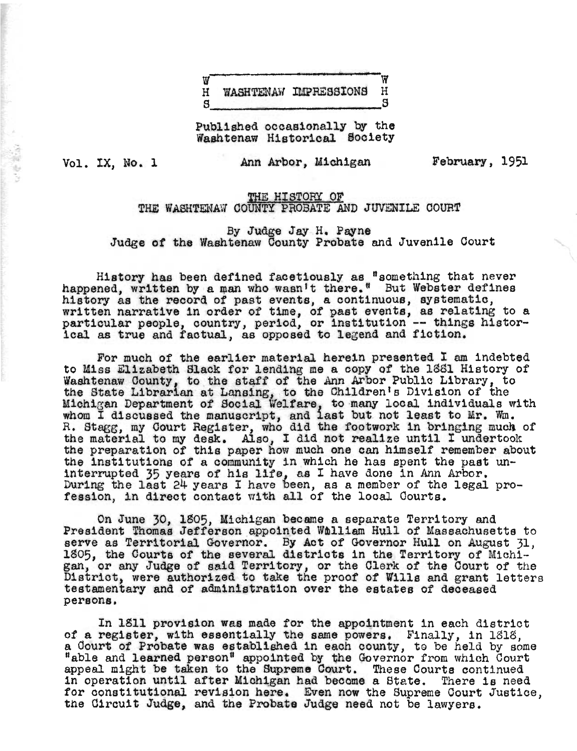w W H WASHTENAW IMPRESSIONS H  $\mathbf{s}$   $\mathbf{s}$ 

Published occas1onally by the Washtenaw Historical Society

Vol. IX, No. 1

Ann Arbor, Michigan February, 1951

THE HISTORY OF THE WASHTENAW COUNTY PROBATE AND JUVENILE COURT

By Judge Jay H. Payne<br>Judge of the Washtenaw County Probate and Juvenile Court

History has been defined facetiously as "something that never happened, written by a man who wasn't there." But Webster defines history as the record of past events, a continuous, systematic, written narrative in order of time, of past events, as relating to a particular people, country, period, or institution -- things historlcal as true and tactual, as opposed to legend and fiction.

For much of the earlier materlal here1n presented I am indebted to Miss Elizabeth Slack for lending me a copy of the 1881 History of Washtenaw County, to the staff of the Ann Arbor Public Library, to the State Librarian at Lansing, to the Children's Division of the Michigan Department of Social Welfare, to many local individuals with michigan bepartment of bootar weither, so many food. Individuals whom I discussed the manuscript, and last but not least to Mr. Wm. R. Stagg, my Court Register, who did the footwork in bringing much of the material to my desk. Also, I did not realize until I undertook the preparation of this paper how much one can himself remember about the institutions of a community in which he has spent the past uninterrupted 35 years of his 11fe, as I have done in Ann Arbor. Interfupted 33 years of his life, as 1 have done in Ann Arbor.<br>During the last 24 years I have been, as a member of the legal pro-<br>fession, in direct contact with all of the local Courts.

On June 30, lS05, Michigan became a separate Territory and President Thomas Jefferson appointed W@lliam Hull of Massachusetts to serve as Territorial Governor. By Act of Governor Hull on August 31, lSo5, the Courts of the several districts in the Territory of Mich1 gan, or any Judge of said Territory, or the Clerk of the Court of the District, were author1zed to take the proof of Wills and grant letters testamentary and of administration over the estates of deceased persons.

In 1811 provision was made for the appointment in each district of a register, with essentially the same powers. Finally, in 1818, a Court of Probate was established in each county, to be held by some "able and learned person" appointed by the Governor from which Court appeal might be taken to the Supreme Court. These Courts continued appear might be taken to the supreme court. These courts continued<br>in operation until after Michigan had become a State. There is need for constitutional revision here. Even now the Supreme Court Justice, the Circuit Judge, and the Probate Judge need not be lawyers.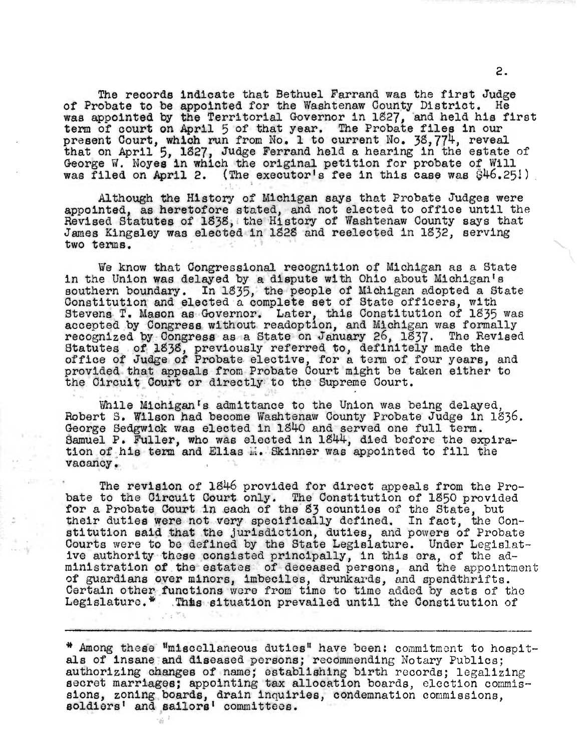The records indicate that Bethuel Farrand was the first Judge of Probate to be appointed for the Washtenaw County District. He was appointed by the Territorial Governor in 1827, and held his first term of court on April 5 of that year. The Probate files in our present Court, which run from No. 1 to current No. 38,774, reveal that on April 5, 1827, Judge Ferrand held a hearing in the estate of George W. Noyes 1n which the original petition for probate of Will was filed on April 2. (The executor's fee in this case was \$46.25!)

Although the History of Michigan says that Probate Judges were appointed, as heretofore stated, and not elected to office until the Revised Statutes of 1838, the History of Washtenaw County says that James Kingsley was elected in IES2S and reelected in IS32, serving two terms.

We know that Congressional recognition of Michigan as a State in the Union was delayed by a dispute with Ohio about Michigan's southern boundary. In 1835, the people of Michigan adopted a State Constitution and elected a complete set of State officers, with Stevens T. Mason as Governor. Later, this Constitution of 1835 was accepted by Congress without readoption, and Michigan was formally recognized py Congress as a State on January 26, lES37. The ReVised recognized by Congress as a State on January 26, 1837. The Revised Statutes of 1838, previously referred to, definitely made the office of Judge of Probate elective, for a term of four years, and provided that appeals from Probate Court might be taken either to the Circuit Court or directly to the Supreme Court.

While Michigan's admittance to the Union was being delayed,<br>Robert S. Wilson had become Washtenaw County Probate Judge in 1836. George Sedgwick was elected in 1840 and served one full term. Samuel P. Fuller, who was elected in 1844, died before the expiration of his term and Elias M. Skinner was appointed to fill the vacancy.

The revision of 1946 provided for direct appeals from the Probate to the Circuit Court only. The Constitution of 1850 provided for a Probate Court in each of the 83 counties of the State, but their duties were not very specifically defined. In fact, the Constitution said that the jurisdiction, duties, and powere of Probate Courts were to be defined by the State Legislature. Under Legislat-<br>ive authority these consisted principally, in this era, of the administration of the estates of deceased persons, and the appointment<br>of guardians over minors, imbeciles, drunkards, and spendthrifts.<br>Certain other functions were from time to time added by acts of the Legislature. \* .Thhs situation prevailed until the Constitution of

\* Among these "miscellaneous duties" have been: commitment to hospitals of insane and diseased persons; recommending Notary Publics; authorizing changes of name; establishing birth records; legalizing secret marriages; appointing tax allocation boards, election commisslons, zonlng boards, drain inquiries, condemnation commissions, sions, zoning boards, drain induities, declared to an established and sellers.

 $-\frac{1}{24}$  2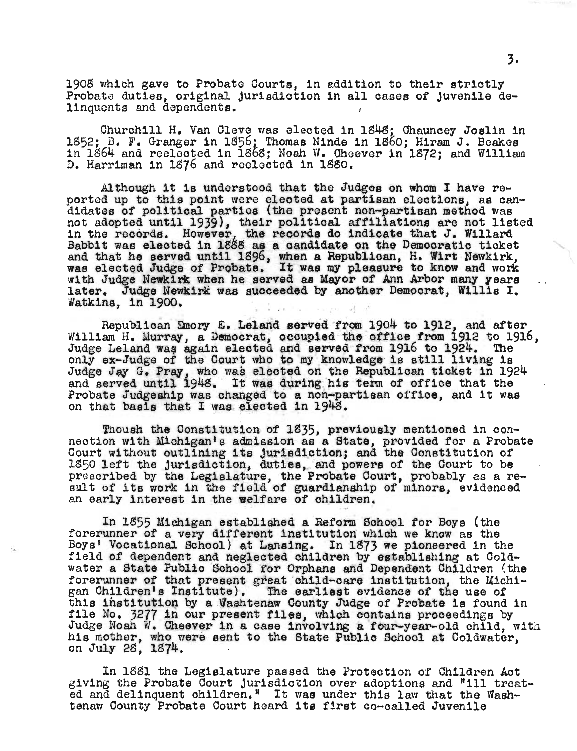1905 which gave to Probate Courts, in addition to their strictly Probate duties, original jurisdiction in all cases of juvenile delinquents and dependents.

Churchill H. Van Cleve was elected in 1846; Chauncey Joslin in 1852; B. F. Granger in 1956· Thomas Ninde in l8bO; Hiram J. Eeakos in 1864 and reelected in 1868; Noah W. Cheever in 1872; and William D. Harriman in 1876 and reelected in 1880.

Although it is understood that the Judges on whom I have reported up to this point were elected at partisan elections, as candidates of political parties (the presont non-partisan method was not adopted until 1939), their political affiliations are not listed in the records. However, the records do indicate that J. Willard Babbit was elected in 1888 as a candidate on the Democratic ticket and that he served until 1896, when a Republican, H. Wirt Newkirk, and that he served until 1890, when a kepublican, H. Wirt Newkirk,<br>was elected Judge of Probate. It was my pleasure to know and work with Judge Newkirk when he served as Mayor of Ann Arbor many years later, Judge Newkirk was succeeded by another Democrat, Willis I. Watk1ns, in 1900.

Republican Emory E. Leland served from 1904 to 1912, and after William H. Murray, a Democrat, occupied the office from 1912 to 1916, Judge Leland was again elected and served from 1916 to 1924. The oudge Leiand was again elected and served from 1916 to 1924. The<br>only ex-Judge of the Court who to my knowledge is still living is Judge Jay G. Pray, who was elected on the Republican ticket in 1924 and served until 1948. It was during his term of office that the Probate Judgeship was changed to a non-partisan offioe, and it was on that basis that I was elected in 1948.

Thoush the Constitution of 1835, previously mentioned in conneotion with Miohigan's admission as a State, provided for a Probate Court without outlining its jurisdiction; and the Constitution of bourt without outlining its jurisdiction; and the Constitution of<br>1850 left the jurisdiction, duties, and powers of the Court to be presoribed by the Legislature, the Probate Court, probably as a result of its work 1n the field of guardianship of minors, evidenced an early interest in the welfare of children.

In 1855 Michigan established a Reform Sohool for Boys (the forerunner of a very different 1nstitution which we know as the Boys' Vocational School) at Lansing. In 1873 we pioneered in the field of dependent and neglected children by establishing at Coldwater a State Public Sohool for Orphans and Dependent Ch1ldren (the forerunner of that present great child-care institution, the Michigan Children's Institute). The earliest evidence of the use of this institution by a Washtenaw County Judge of Probate is found in file No. 3277 in our present files, which contains proceedings by Judge Noah W. Cheever in a case involving a four-year-old child, with his mother, who were sent to the State Publio School at Coldwater, on July 28, 1874. .

In lS81 the Leg1s1ature passed the Protection of ChIldren Act giving the Frobate Court jurisdict10n over adoptions and. "111 treated and delinquent children.<sup>"</sup> It was under this law that the Washtenaw County Probate Court heard its first co-called Juvenile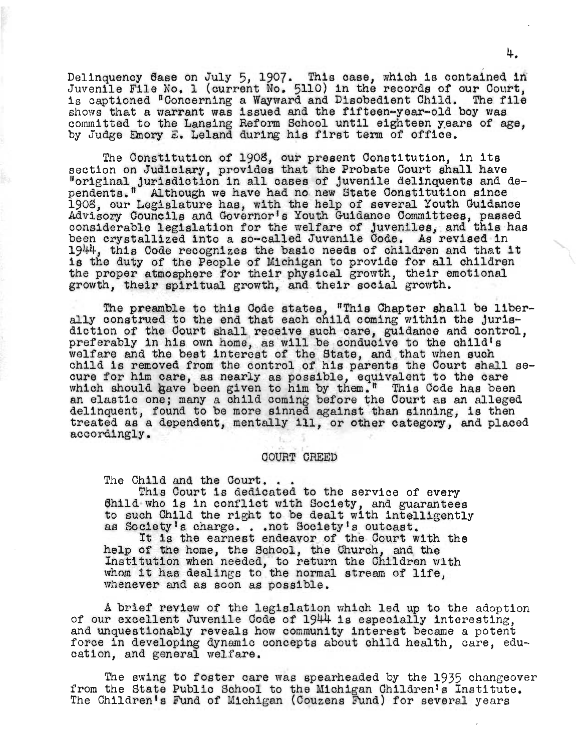Delinquency Sase on July 5, 1907. This case, which is contained in Juvenile File No. 1 (current No. 5110) in the records of our Court, is captloned "Concerning a Wayward and Disobedient Child. The file shows that a warrant was issued and the fifteen-year-old boy was committed to the Lansing Reform School until eighteen years of age, by Judge Emory E. Leland during his first term of office.

The Constitution of 1909, our present Constitution, in its section on Judiciary, provides that the Probate Court shall have "original jurisdiction in all cases of juvenile delinquents and dependents." Although we have had no new State Constitution since 1905, our Legislature has, with the help of several Youth GUidance Advisory Councils and Governor's Youth Guidance Committees, passed oonsiderable legislation for the welfare of juveniles, and this has been crystallized into a so-called Juvenile Code. As revised in 1944, this Code recognizes the basic needs of children and that it is the duty of the People of Michigan to provide for all children the proper atmosphere for their physical growth, their emotional growth, their spiritual growth, and their social growth.

The preamble to this Oode states, "This Chapter shall be liber-<br>ally construed to the end that each child coming within the jurisdiction of the Court shall receive such care, guidance and control, preferably in his own home, as will be conducive to the child's welfare and the best interest of the State, and that when such child is removed from the control of his parents the Court shall seoure for him care, as nearly as possible, equivalent to the care which should gave been given to him by them." This Code has been an elastic one; many a child coming before the Court as an alleged delinquent, found to be more sinned against than sinning, is then treated as a dependent, mentally ill, or other category, and placed accordingly.

## **COURT CREED**

The Child and the Court. . .<br>This Court is dedicated to the service of every In this Court is dedicated to the service of every<br>
Shild who is in conflict with Society, and guarantees to such Child the right to be dealt with intelligently to such Child the right to be dealt with intell<br>as Society's charge. . .not Society's outcast.

It is the earnest endeavor of the Oourt with the help of the home, the School, the Church, and the Institution when needed, to return the Children with whom it has dealings to the normal stream of life, whenever and as soon as possible.

A brief review of the legislation which led up to the adoption<br>of our excellent Juvenile Code of 1944 is especially interesting,<br>and unquestionably reveals how community interest became a potent<br>force in developing dynamic oation, and general welfare.

The swing to foster care was spearheaded by the 1935 ohangeover from the State Public School to the Michigan Children's Institute. The Children's Fund of Michigan (Couzens Fund) for several years

,